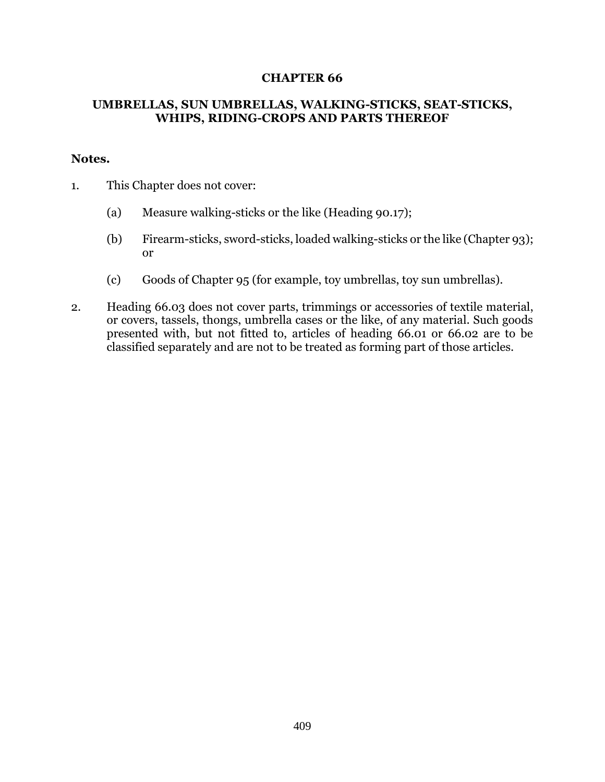## **CHAPTER 66**

## **UMBRELLAS, SUN UMBRELLAS, WALKING-STICKS, SEAT-STICKS, WHIPS, RIDING-CROPS AND PARTS THEREOF**

## **Notes.**

- 1. This Chapter does not cover:
	- (a) Measure walking-sticks or the like (Heading 90.17);
	- (b) Firearm-sticks, sword-sticks, loaded walking-sticks or the like (Chapter 93); or
	- (c) Goods of Chapter 95 (for example, toy umbrellas, toy sun umbrellas).
- 2. Heading 66.03 does not cover parts, trimmings or accessories of textile material, or covers, tassels, thongs, umbrella cases or the like, of any material. Such goods presented with, but not fitted to, articles of heading 66.01 or 66.02 are to be classified separately and are not to be treated as forming part of those articles.